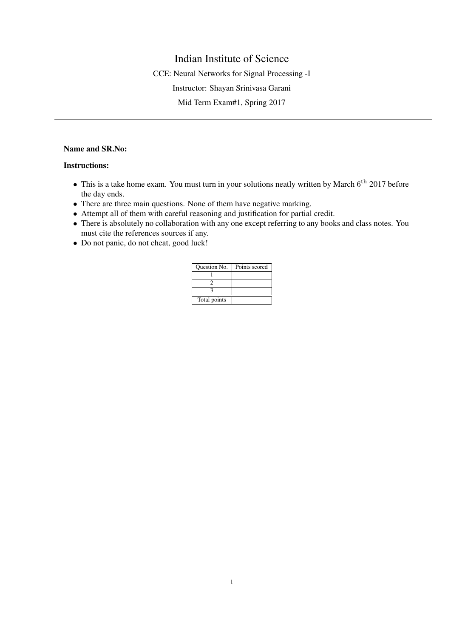## Indian Institute of Science

CCE: Neural Networks for Signal Processing -I

Instructor: Shayan Srinivasa Garani

Mid Term Exam#1, Spring 2017

## Name and SR.No:

## Instructions:

- This is a take home exam. You must turn in your solutions neatly written by March 6<sup>th</sup> 2017 before the day ends.
- There are three main questions. None of them have negative marking.
- Attempt all of them with careful reasoning and justification for partial credit.
- There is absolutely no collaboration with any one except referring to any books and class notes. You must cite the references sources if any.
- Do not panic, do not cheat, good luck!

| Question No. | Points scored |
|--------------|---------------|
|              |               |
|              |               |
|              |               |
| Total points |               |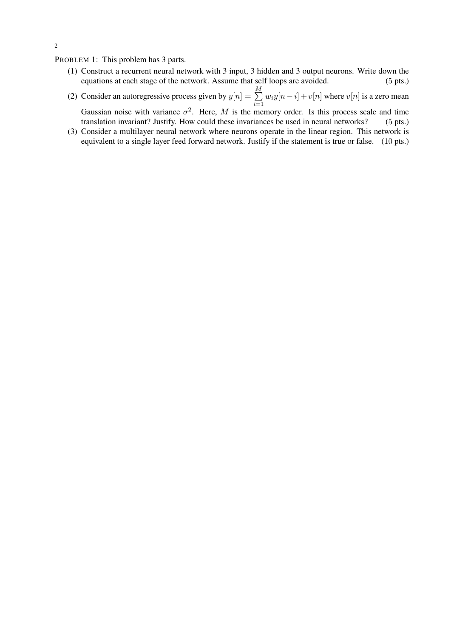PROBLEM 1: This problem has 3 parts.

- (1) Construct a recurrent neural network with 3 input, 3 hidden and 3 output neurons. Write down the equations at each stage of the network. Assume that self loops are avoided. (5 pts.)
- (2) Consider an autoregressive process given by  $y[n] = \sum_{n=1}^{M}$  $i=1$  $w_iy[n-i] + v[n]$  where  $v[n]$  is a zero mean Gaussian noise with variance  $\sigma^2$ . Here, M is the memory order. Is this process scale and time translation invariant? Justify. How could these invariances be used in neural networks? (5 pts.)
- (3) Consider a multilayer neural network where neurons operate in the linear region. This network is equivalent to a single layer feed forward network. Justify if the statement is true or false. (10 pts.)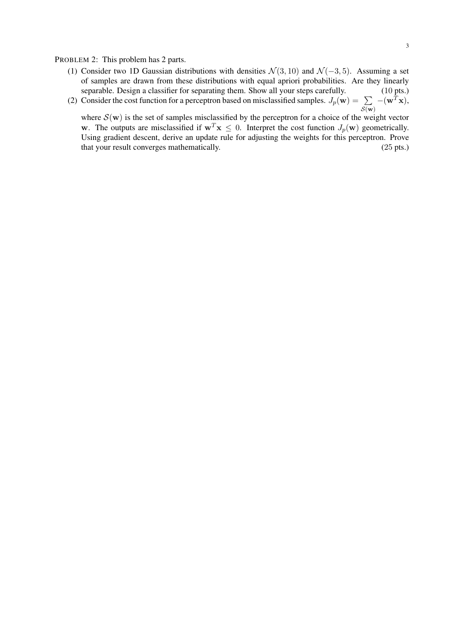PROBLEM 2: This problem has 2 parts.

(1) Consider two 1D Gaussian distributions with densities  $\mathcal{N}(3, 10)$  and  $\mathcal{N}(-3, 5)$ . Assuming a set of samples are drawn from these distributions with equal apriori probabilities. Are they linearly separable. Design a classifier for separating them. Show all your steps carefully. (10 pts.)  $-(\mathbf{w}^T\mathbf{x}),$ 

(2) Consider the cost function for a perceptron based on misclassified samples.  $J_p(\mathbf{w}) = \sum$  $\mathcal{S}(\mathbf{w})$ 

where  $\mathcal{S}(w)$  is the set of samples misclassified by the perceptron for a choice of the weight vector w. The outputs are misclassified if  $w^T x \leq 0$ . Interpret the cost function  $J_p(w)$  geometrically. Using gradient descent, derive an update rule for adjusting the weights for this perceptron. Prove that your result converges mathematically. (25 pts.)